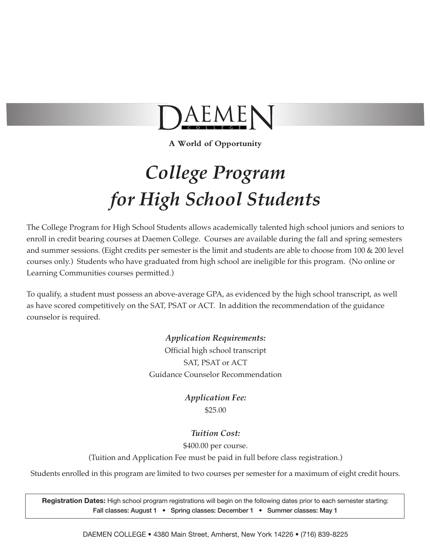

**A World of Opportunity**

# *College Program for High School Students*

The College Program for High School Students allows academically talented high school juniors and seniors to enroll in credit bearing courses at Daemen College. Courses are available during the fall and spring semesters and summer sessions. (Eight credits per semester is the limit and students are able to choose from 100 & 200 level courses only.) Students who have graduated from high school are ineligible for this program. (No online or Learning Communities courses permitted.)

To qualify, a student must possess an above-average GPA, as evidenced by the high school transcript, as well as have scored competitively on the SAT, PSAT or ACT. In addition the recommendation of the guidance counselor is required.

> *Application Requirements:* Official high school transcript SAT, PSAT or ACT Guidance Counselor Recommendation

> > *Application Fee:* \$25.00

### *Tuition Cost:*

\$400.00 per course.

(Tuition and Application Fee must be paid in full before class registration.)

Students enrolled in this program are limited to two courses per semester for a maximum of eight credit hours.

**Registration Dates:** High school program registrations will begin on the following dates prior to each semester starting: Fall classes: August 1 • Spring classes: December 1 • Summer classes: May 1

DAEMEN COLLEGE • 4380 Main Street, Amherst, New York 14226 • (716) 839-8225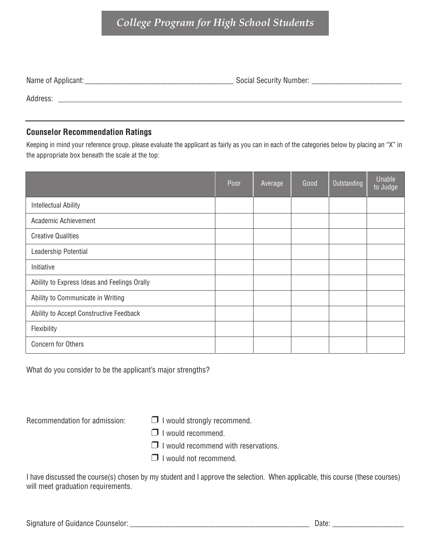## *College Program for High School Students*

| Name of Applicant: | <b>Social Security Number:</b> |
|--------------------|--------------------------------|
| Address:           |                                |

## **Counselor Recommendation Ratings**

Keeping in mind your reference group, please evaluate the applicant as fairly as you can in each of the categories below by placing an "X" in the appropriate box beneath the scale at the top:

|                                              | Poor | Average | Good | Outstanding | Unable<br>to Judge |
|----------------------------------------------|------|---------|------|-------------|--------------------|
| <b>Intellectual Ability</b>                  |      |         |      |             |                    |
| Academic Achievement                         |      |         |      |             |                    |
| <b>Creative Qualities</b>                    |      |         |      |             |                    |
| Leadership Potential                         |      |         |      |             |                    |
| Initiative                                   |      |         |      |             |                    |
| Ability to Express Ideas and Feelings Orally |      |         |      |             |                    |
| Ability to Communicate in Writing            |      |         |      |             |                    |
| Ability to Accept Constructive Feedback      |      |         |      |             |                    |
| Flexibility                                  |      |         |      |             |                    |
| <b>Concern for Others</b>                    |      |         |      |             |                    |

What do you consider to be the applicant's major strengths?

Recommendation for admission:  $\Box$  I would strongly recommend.

- 
- ❒ <sup>I</sup> would recommend.
- ❒ <sup>I</sup> would recommend with reservations.
- ❒ <sup>I</sup> would not recommend.

I have discussed the course(s) chosen by my student and I approve the selection. When applicable, this course (these courses) will meet graduation requirements.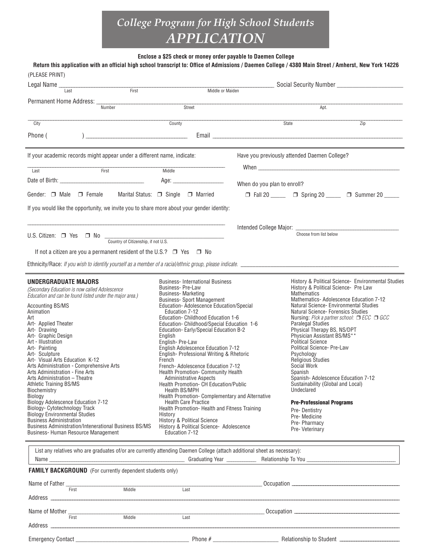# *College Program for High School Students APPLICATION*

**Enclose a \$25 check or money order payable to Daemen College**

| Return this application with an official high school transcript to: Office of Admissions / Daemen College / 4380 Main Street / Amherst, New York 14226<br>(PLEASE PRINT)<br>Legal Name_                                                                                                                                                                                                                                                                                                                                                                                                                                                                                                                                                                                           |                                                                                                                                                                                                                                                                                                                                                                                                                                                                                                                                                                                                                                                                                                                                                                                                                                                                                       |                             |                                                                                                                                                                                                                                                                                                                                                                                                                                                                                                                                   |                                                                                                                                                                                                  |
|-----------------------------------------------------------------------------------------------------------------------------------------------------------------------------------------------------------------------------------------------------------------------------------------------------------------------------------------------------------------------------------------------------------------------------------------------------------------------------------------------------------------------------------------------------------------------------------------------------------------------------------------------------------------------------------------------------------------------------------------------------------------------------------|---------------------------------------------------------------------------------------------------------------------------------------------------------------------------------------------------------------------------------------------------------------------------------------------------------------------------------------------------------------------------------------------------------------------------------------------------------------------------------------------------------------------------------------------------------------------------------------------------------------------------------------------------------------------------------------------------------------------------------------------------------------------------------------------------------------------------------------------------------------------------------------|-----------------------------|-----------------------------------------------------------------------------------------------------------------------------------------------------------------------------------------------------------------------------------------------------------------------------------------------------------------------------------------------------------------------------------------------------------------------------------------------------------------------------------------------------------------------------------|--------------------------------------------------------------------------------------------------------------------------------------------------------------------------------------------------|
| Last                                                                                                                                                                                                                                                                                                                                                                                                                                                                                                                                                                                                                                                                                                                                                                              | First<br>Middle or Maiden                                                                                                                                                                                                                                                                                                                                                                                                                                                                                                                                                                                                                                                                                                                                                                                                                                                             |                             |                                                                                                                                                                                                                                                                                                                                                                                                                                                                                                                                   |                                                                                                                                                                                                  |
| Number                                                                                                                                                                                                                                                                                                                                                                                                                                                                                                                                                                                                                                                                                                                                                                            | Street                                                                                                                                                                                                                                                                                                                                                                                                                                                                                                                                                                                                                                                                                                                                                                                                                                                                                |                             | Apt.                                                                                                                                                                                                                                                                                                                                                                                                                                                                                                                              |                                                                                                                                                                                                  |
| City                                                                                                                                                                                                                                                                                                                                                                                                                                                                                                                                                                                                                                                                                                                                                                              | County                                                                                                                                                                                                                                                                                                                                                                                                                                                                                                                                                                                                                                                                                                                                                                                                                                                                                |                             | State                                                                                                                                                                                                                                                                                                                                                                                                                                                                                                                             | Zip                                                                                                                                                                                              |
| $\begin{array}{c} \hline \end{array}$<br>Phone (                                                                                                                                                                                                                                                                                                                                                                                                                                                                                                                                                                                                                                                                                                                                  |                                                                                                                                                                                                                                                                                                                                                                                                                                                                                                                                                                                                                                                                                                                                                                                                                                                                                       |                             |                                                                                                                                                                                                                                                                                                                                                                                                                                                                                                                                   |                                                                                                                                                                                                  |
| If your academic records might appear under a different name, indicate:                                                                                                                                                                                                                                                                                                                                                                                                                                                                                                                                                                                                                                                                                                           |                                                                                                                                                                                                                                                                                                                                                                                                                                                                                                                                                                                                                                                                                                                                                                                                                                                                                       |                             | Have you previously attended Daemen College?                                                                                                                                                                                                                                                                                                                                                                                                                                                                                      |                                                                                                                                                                                                  |
| First<br>Last                                                                                                                                                                                                                                                                                                                                                                                                                                                                                                                                                                                                                                                                                                                                                                     | Middle                                                                                                                                                                                                                                                                                                                                                                                                                                                                                                                                                                                                                                                                                                                                                                                                                                                                                |                             |                                                                                                                                                                                                                                                                                                                                                                                                                                                                                                                                   |                                                                                                                                                                                                  |
|                                                                                                                                                                                                                                                                                                                                                                                                                                                                                                                                                                                                                                                                                                                                                                                   |                                                                                                                                                                                                                                                                                                                                                                                                                                                                                                                                                                                                                                                                                                                                                                                                                                                                                       | When do you plan to enroll? |                                                                                                                                                                                                                                                                                                                                                                                                                                                                                                                                   |                                                                                                                                                                                                  |
| Gender: $\Box$ Male $\Box$ Female                                                                                                                                                                                                                                                                                                                                                                                                                                                                                                                                                                                                                                                                                                                                                 | Marital Status: $\Box$ Single $\Box$ Married                                                                                                                                                                                                                                                                                                                                                                                                                                                                                                                                                                                                                                                                                                                                                                                                                                          |                             |                                                                                                                                                                                                                                                                                                                                                                                                                                                                                                                                   | □ Fall 20 _____ □ Spring 20 _____ □ Summer 20 ____                                                                                                                                               |
| If you would like the opportunity, we invite you to share more about your gender identity:                                                                                                                                                                                                                                                                                                                                                                                                                                                                                                                                                                                                                                                                                        |                                                                                                                                                                                                                                                                                                                                                                                                                                                                                                                                                                                                                                                                                                                                                                                                                                                                                       |                             |                                                                                                                                                                                                                                                                                                                                                                                                                                                                                                                                   |                                                                                                                                                                                                  |
|                                                                                                                                                                                                                                                                                                                                                                                                                                                                                                                                                                                                                                                                                                                                                                                   |                                                                                                                                                                                                                                                                                                                                                                                                                                                                                                                                                                                                                                                                                                                                                                                                                                                                                       |                             |                                                                                                                                                                                                                                                                                                                                                                                                                                                                                                                                   |                                                                                                                                                                                                  |
| U.S. Citizen: $\Box$ Yes $\Box$ No $\frac{\Box}{\Box}$ Country of Citizenship, if not U.S.                                                                                                                                                                                                                                                                                                                                                                                                                                                                                                                                                                                                                                                                                        |                                                                                                                                                                                                                                                                                                                                                                                                                                                                                                                                                                                                                                                                                                                                                                                                                                                                                       |                             | Choose from list below                                                                                                                                                                                                                                                                                                                                                                                                                                                                                                            |                                                                                                                                                                                                  |
| If not a citizen are you a permanent resident of the U.S.? $\Box$ Yes $\Box$ No                                                                                                                                                                                                                                                                                                                                                                                                                                                                                                                                                                                                                                                                                                   |                                                                                                                                                                                                                                                                                                                                                                                                                                                                                                                                                                                                                                                                                                                                                                                                                                                                                       |                             |                                                                                                                                                                                                                                                                                                                                                                                                                                                                                                                                   |                                                                                                                                                                                                  |
|                                                                                                                                                                                                                                                                                                                                                                                                                                                                                                                                                                                                                                                                                                                                                                                   |                                                                                                                                                                                                                                                                                                                                                                                                                                                                                                                                                                                                                                                                                                                                                                                                                                                                                       |                             |                                                                                                                                                                                                                                                                                                                                                                                                                                                                                                                                   |                                                                                                                                                                                                  |
| <b>UNDERGRADUATE MAJORS</b><br>(Secondary Education is now called Adolescence<br>Education and can be found listed under the major area.)<br><b>Accounting BS/MS</b><br>Animation<br>Art<br>Art- Applied Theater<br>Art- Drawing<br>Art- Graphic Design<br>Art - Illustration<br>Art- Painting<br>Art- Sculpture<br>Art- Visual Arts Education K-12<br>Arts Administration - Comprehensive Arts<br>Arts Administration - Fine Arts<br>Arts Administration - Theatre<br>Athletic Training BS/MS<br>Biochemistry<br>Biology<br><b>Biology Adolescence Education 7-12</b><br>Biology- Cytotechnology Track<br>Biology Environmental Studies<br><b>Business Administration</b><br><b>Business Administration/Intenerational Business BS/MS</b><br>Business- Human Resource Management | <b>Business-International Business</b><br>Business-Pre-Law<br><b>Business-Marketing</b><br><b>Business-Sport Management</b><br>Education-Adolescence Education/Special<br>Education 7-12<br>Education- Childhood Education 1-6<br>Education- Childhood/Special Education 1-6<br>Education- Early/Special Education B-2<br>English<br>English-Pre-Law<br>English Adolescence Education 7-12<br>English- Professional Writing & Rhetoric<br>French<br>French-Adolescence Education 7-12<br><b>Health Promotion- Community Health</b><br><b>Administrative Aspects</b><br><b>Health Promotion- CH Education/Public</b><br><b>Health BS/MPH</b><br>Health Promotion-Complementary and Alternative<br><b>Health Care Practice</b><br>Health Promotion- Health and Fitness Training<br>History<br>History & Political Science<br>History & Political Science- Adolescence<br>Education 7-12 |                             | History & Political Science- Pre Law<br><b>Mathematics</b><br><b>Natural Science- Forensics Studies</b><br><b>Paralegal Studies</b><br>Physical Therapy BS, NS/DPT<br>Physician Assistant BS/MS**<br><b>Political Science</b><br>Political Science- Pre-Law<br>Psychology<br><b>Religious Studies</b><br>Social Work<br>Spanish<br>Spanish-Adolescence Education 7-12<br>Sustainability (Global and Local)<br>Undeclared<br><b>Pre-Professional Programs</b><br>Pre-Dentistry<br>Pre-Medicine<br>Pre- Pharmacy<br>Pre- Veterinary | History & Political Science - Environmental Studies<br>Mathematics-Adolescence Education 7-12<br>Natural Science- Environmental Studies<br>Nursing: Pick a partner school: $\Box$ ECC $\Box$ GCC |
| List any relatives who are graduates of/or are currently attending Daemen College (attach additional sheet as necessary):<br><b>FAMILY BACKGROUND</b> (For currently dependent students only)                                                                                                                                                                                                                                                                                                                                                                                                                                                                                                                                                                                     |                                                                                                                                                                                                                                                                                                                                                                                                                                                                                                                                                                                                                                                                                                                                                                                                                                                                                       |                             |                                                                                                                                                                                                                                                                                                                                                                                                                                                                                                                                   |                                                                                                                                                                                                  |
| Name of Father First Middle                                                                                                                                                                                                                                                                                                                                                                                                                                                                                                                                                                                                                                                                                                                                                       | Last                                                                                                                                                                                                                                                                                                                                                                                                                                                                                                                                                                                                                                                                                                                                                                                                                                                                                  |                             |                                                                                                                                                                                                                                                                                                                                                                                                                                                                                                                                   |                                                                                                                                                                                                  |
|                                                                                                                                                                                                                                                                                                                                                                                                                                                                                                                                                                                                                                                                                                                                                                                   |                                                                                                                                                                                                                                                                                                                                                                                                                                                                                                                                                                                                                                                                                                                                                                                                                                                                                       |                             |                                                                                                                                                                                                                                                                                                                                                                                                                                                                                                                                   |                                                                                                                                                                                                  |
| Name of Mother                                                                                                                                                                                                                                                                                                                                                                                                                                                                                                                                                                                                                                                                                                                                                                    |                                                                                                                                                                                                                                                                                                                                                                                                                                                                                                                                                                                                                                                                                                                                                                                                                                                                                       |                             |                                                                                                                                                                                                                                                                                                                                                                                                                                                                                                                                   |                                                                                                                                                                                                  |
| Middle<br>First <b>Executive Service</b>                                                                                                                                                                                                                                                                                                                                                                                                                                                                                                                                                                                                                                                                                                                                          | Last                                                                                                                                                                                                                                                                                                                                                                                                                                                                                                                                                                                                                                                                                                                                                                                                                                                                                  |                             |                                                                                                                                                                                                                                                                                                                                                                                                                                                                                                                                   |                                                                                                                                                                                                  |

Emergency Contact \_\_\_\_\_\_\_\_\_\_\_\_\_\_\_\_\_\_\_\_\_\_\_\_\_\_\_\_\_\_\_\_\_\_\_\_\_\_ Phone # \_\_\_\_\_\_\_\_\_\_\_\_\_\_\_\_\_\_\_\_\_\_ Relationship to Student –––––––––––––––––––––––––

Address ––––––––––––––––––––––––––––––––––––––––––––––––––––––––––––––––––––––––––––––––––––––––––––––––––––––––––––––––––––––––––––––––––––––––––––––––––